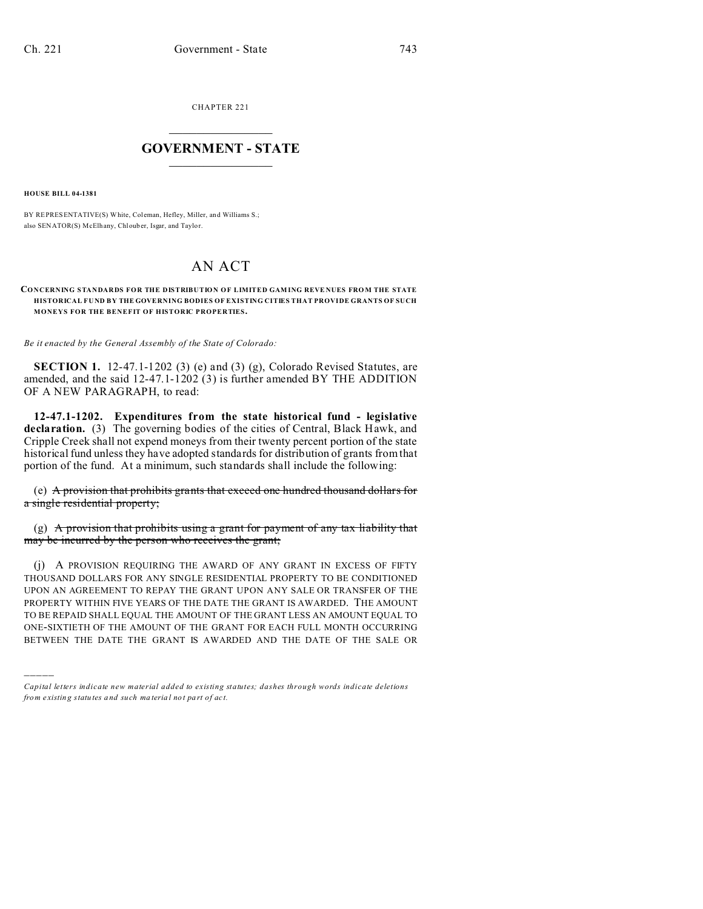CHAPTER 221  $\overline{\phantom{a}}$  , where  $\overline{\phantom{a}}$ 

## **GOVERNMENT - STATE**  $\_$   $\_$

**HOUSE BILL 04-1381**

)))))

BY REPRESENTATIVE(S) White, Coleman, Hefley, Miller, and Williams S.; also SENATOR(S) McElhany, Chlouber, Isgar, and Taylo r.

## AN ACT

## **CONCERNING STANDARDS FOR THE DISTRIBUTION OF LIMITED GAMING REVENUES FROM THE STATE HISTORICAL FUND BY THE GOVERNING BODIES OF EXISTING CITIES THAT PROVIDE GRANTS OF SUCH MONEYS FOR THE BENEFIT OF HISTORIC PROPERTIES.**

*Be it enacted by the General Assembly of the State of Colorado:*

**SECTION 1.** 12-47.1-1202 (3) (e) and (3) (g), Colorado Revised Statutes, are amended, and the said 12-47.1-1202 (3) is further amended BY THE ADDITION OF A NEW PARAGRAPH, to read:

**12-47.1-1202. Expenditures from the state historical fund - legislative declaration.** (3) The governing bodies of the cities of Central, Black Hawk, and Cripple Creek shall not expend moneys from their twenty percent portion of the state historical fund unless they have adopted standards for distribution of grants from that portion of the fund. At a minimum, such standards shall include the following:

(e) A provision that prohibits grants that exceed one hundred thousand dollars for a single residential property;

(g) A provision that prohibits using a grant for payment of any tax liability that may be incurred by the person who receives the grant;

(j) A PROVISION REQUIRING THE AWARD OF ANY GRANT IN EXCESS OF FIFTY THOUSAND DOLLARS FOR ANY SINGLE RESIDENTIAL PROPERTY TO BE CONDITIONED UPON AN AGREEMENT TO REPAY THE GRANT UPON ANY SALE OR TRANSFER OF THE PROPERTY WITHIN FIVE YEARS OF THE DATE THE GRANT IS AWARDED. THE AMOUNT TO BE REPAID SHALL EQUAL THE AMOUNT OF THE GRANT LESS AN AMOUNT EQUAL TO ONE-SIXTIETH OF THE AMOUNT OF THE GRANT FOR EACH FULL MONTH OCCURRING BETWEEN THE DATE THE GRANT IS AWARDED AND THE DATE OF THE SALE OR

*Capital letters indicate new material added to existing statutes; dashes through words indicate deletions from e xistin g statu tes a nd such ma teria l no t pa rt of ac t.*